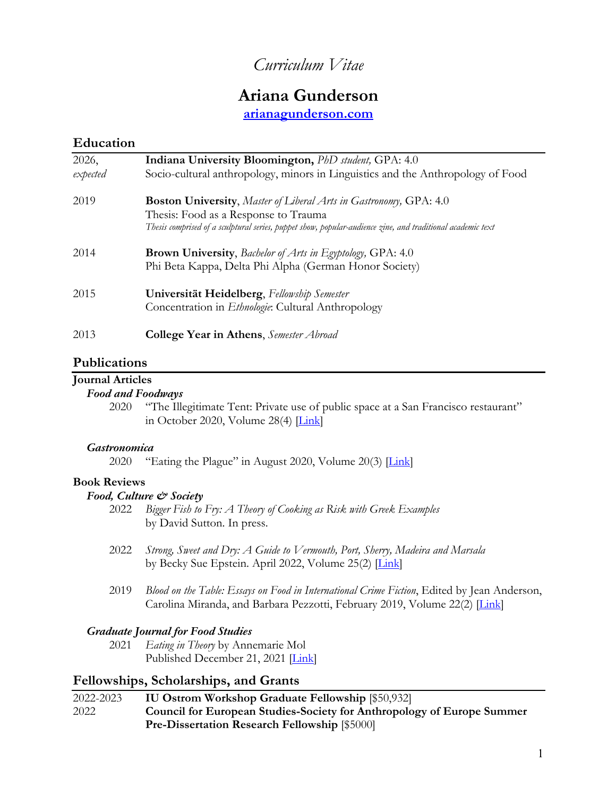# *Curriculum Vitae*

# **Ariana Gunderson**

**arianagunderson.com**

#### **Education**

| 2026,<br>expected | Indiana University Bloomington, PhD student, GPA: 4.0<br>Socio-cultural anthropology, minors in Linguistics and the Anthropology of Food |
|-------------------|------------------------------------------------------------------------------------------------------------------------------------------|
| 2019              | <b>Boston University,</b> Master of Liberal Arts in Gastronomy, GPA: 4.0                                                                 |
|                   | Thesis: Food as a Response to Trauma                                                                                                     |
|                   | Thesis comprised of a sculptural series, puppet show, popular-audience zine, and traditional academic text                               |
| 2014              | <b>Brown University,</b> Bachelor of Arts in Egyptology, GPA: 4.0                                                                        |
|                   | Phi Beta Kappa, Delta Phi Alpha (German Honor Society)                                                                                   |
| 2015              | Universität Heidelberg, Fellowship Semester                                                                                              |
|                   | Concentration in <i>Ethnologie</i> : Cultural Anthropology                                                                               |
| 2013              | <b>College Year in Athens</b> , Semester Abroad                                                                                          |

#### **Publications**

#### **Journal Articles**

#### *Food and Foodways*

2020 "The Illegitimate Tent: Private use of public space at a San Francisco restaurant" in October 2020, Volume 28(4)  $\boxed{\text{Link}}$ 

#### *Gastronomica*

2020 "Eating the Plague" in August 2020, Volume 20(3)  $\boxed{\text{Link}}$ 

#### **Book Reviews**

#### *Food, Culture & Society*

- 2022 *Bigger Fish to Fry: A Theory of Cooking as Risk with Greek Examples* by David Sutton. In press.
- 2022 *Strong, Sweet and Dry: A Guide to Vermouth, Port, Sherry, Madeira and Marsala* by Becky Sue Epstein. April 2022, Volume 25(2) [Link]
- 2019 *Blood on the Table: Essays on Food in International Crime Fiction*, Edited by Jean Anderson, Carolina Miranda, and Barbara Pezzotti, February 2019, Volume 22(2) [*Link*]

#### *Graduate Journal for Food Studies*

2021 *Eating in Theory* by Annemarie Mol Published December 21, 2021 [Link]

### **Fellowships, Scholarships, and Grants**

| 2022-2023 | <b>IU Ostrom Workshop Graduate Fellowship [\$50,932]</b>                      |
|-----------|-------------------------------------------------------------------------------|
| 2022      | <b>Council for European Studies-Society for Anthropology of Europe Summer</b> |
|           | <b>Pre-Dissertation Research Fellowship [\$5000]</b>                          |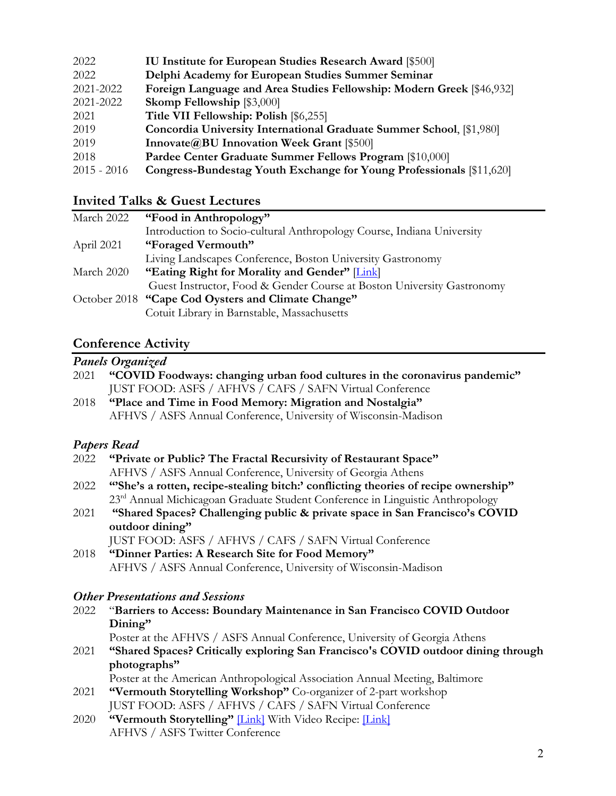| 2022          | IU Institute for European Studies Research Award [\$500]              |
|---------------|-----------------------------------------------------------------------|
| 2022          | Delphi Academy for European Studies Summer Seminar                    |
| 2021-2022     | Foreign Language and Area Studies Fellowship: Modern Greek [\$46,932] |
| 2021-2022     | <b>Skomp Fellowship [\$3,000]</b>                                     |
| 2021          | Title VII Fellowship: Polish [\$6,255]                                |
| 2019          | Concordia University International Graduate Summer School, [\$1,980]  |
| 2019          | Innovate@BU Innovation Week Grant [\$500]                             |
| 2018          | Pardee Center Graduate Summer Fellows Program [\$10,000]              |
| $2015 - 2016$ | Congress-Bundestag Youth Exchange for Young Professionals [\$11,620]  |

# **Invited Talks & Guest Lectures**

| March 2022 | "Food in Anthropology"                                                 |
|------------|------------------------------------------------------------------------|
|            | Introduction to Socio-cultural Anthropology Course, Indiana University |
| April 2021 | "Foraged Vermouth"                                                     |
|            | Living Landscapes Conference, Boston University Gastronomy             |
| March 2020 | "Eating Right for Morality and Gender" [Link]                          |
|            | Guest Instructor, Food & Gender Course at Boston University Gastronomy |
|            | October 2018 "Cape Cod Oysters and Climate Change"                     |
|            | Cotuit Library in Barnstable, Massachusetts                            |

# **Conference Activity**

|      | Panels Organized                                                                           |
|------|--------------------------------------------------------------------------------------------|
| 2021 | "COVID Foodways: changing urban food cultures in the coronavirus pandemic"                 |
|      | JUST FOOD: ASFS / AFHVS / CAFS / SAFN Virtual Conference                                   |
| 2018 | "Place and Time in Food Memory: Migration and Nostalgia"                                   |
|      | AFHVS / ASFS Annual Conference, University of Wisconsin-Madison                            |
|      | <b>Papers Read</b>                                                                         |
| 2022 | "Private or Public? The Fractal Recursivity of Restaurant Space"                           |
|      | AFHVS / ASFS Annual Conference, University of Georgia Athens                               |
| 2022 | "She's a rotten, recipe-stealing bitch:' conflicting theories of recipe ownership"         |
|      | 23 <sup>rd</sup> Annual Michicagoan Graduate Student Conference in Linguistic Anthropology |
| 2021 | "Shared Spaces? Challenging public & private space in San Francisco's COVID                |
|      | outdoor dining"                                                                            |
|      | JUST FOOD: ASFS / AFHVS / CAFS / SAFN Virtual Conference                                   |
| 2018 | "Dinner Parties: A Research Site for Food Memory"                                          |
|      | AFHVS / ASFS Annual Conference, University of Wisconsin-Madison                            |
|      | <b>Other Presentations and Sessions</b>                                                    |
| 2022 | "Barriers to Access: Boundary Maintenance in San Francisco COVID Outdoor                   |
|      | Dining"                                                                                    |
|      | Poster at the AFHVS / ASFS Annual Conference, University of Georgia Athens                 |
| 2021 | "Shared Spaces? Critically exploring San Francisco's COVID outdoor dining through          |
|      | photographs"                                                                               |
|      | Poster at the American Anthropological Association Annual Meeting, Baltimore               |
| 2021 | "Vermouth Storytelling Workshop" Co-organizer of 2-part workshop                           |
|      | JUST FOOD: ASFS / AFHVS / CAFS / SAFN Virtual Conference                                   |
| 2020 | "Vermouth Storytelling" [Link] With Video Recipe: [Link]                                   |
|      | AFHVS / ASFS Twitter Conference                                                            |
|      | $\mathcal{D}$                                                                              |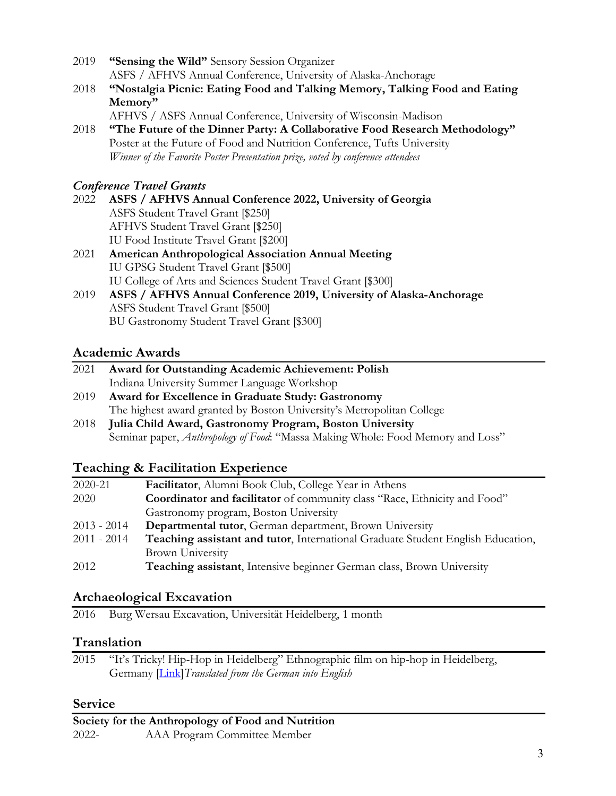- 2019 **"Sensing the Wild"** Sensory Session Organizer ASFS / AFHVS Annual Conference, University of Alaska-Anchorage
- 2018 **"Nostalgia Picnic: Eating Food and Talking Memory, Talking Food and Eating Memory"**
- AFHVS / ASFS Annual Conference, University of Wisconsin-Madison 2018 **"The Future of the Dinner Party: A Collaborative Food Research Methodology"** Poster at the Future of Food and Nutrition Conference, Tufts University *Winner of the Favorite Poster Presentation prize, voted by conference attendees*

### *Conference Travel Grants*

- 2022 **ASFS / AFHVS Annual Conference 2022, University of Georgia** ASFS Student Travel Grant [\$250] AFHVS Student Travel Grant [\$250] IU Food Institute Travel Grant [\$200]
- 2021 **American Anthropological Association Annual Meeting**  IU GPSG Student Travel Grant [\$500] IU College of Arts and Sciences Student Travel Grant [\$300] 2019 **ASFS / AFHVS Annual Conference 2019, University of Alaska-Anchorage**
- ASFS Student Travel Grant [\$500] BU Gastronomy Student Travel Grant [\$300]

## **Academic Awards**

| 2021 | Award for Outstanding Academic Achievement: Polish                              |
|------|---------------------------------------------------------------------------------|
|      | Indiana University Summer Language Workshop                                     |
| 2019 | Award for Excellence in Graduate Study: Gastronomy                              |
|      | The highest award granted by Boston University's Metropolitan College           |
| 2018 | Julia Child Award, Gastronomy Program, Boston University                        |
|      | Seminar paper, Anthropology of Food: "Massa Making Whole: Food Memory and Loss" |
|      |                                                                                 |
|      |                                                                                 |

## **Teaching & Facilitation Experience**

| 2020-21       | <b>Facilitator, Alumni Book Club, College Year in Athens</b>                           |
|---------------|----------------------------------------------------------------------------------------|
| 2020          | Coordinator and facilitator of community class "Race, Ethnicity and Food"              |
|               | Gastronomy program, Boston University                                                  |
| $2013 - 2014$ | <b>Departmental tutor, German department, Brown University</b>                         |
| $2011 - 2014$ | <b>Teaching assistant and tutor, International Graduate Student English Education,</b> |
|               | <b>Brown University</b>                                                                |
| 2012          | Teaching assistant, Intensive beginner German class, Brown University                  |

## **Archaeological Excavation**

2016 Burg Wersau Excavation, Universität Heidelberg, 1 month

## **Translation**

2015 "It's Tricky! Hip-Hop in Heidelberg" Ethnographic film on hip-hop in Heidelberg, Germany [Link]*Translated from the German into English*

## **Service**

**Society for the Anthropology of Food and Nutrition** 2022- AAA Program Committee Member